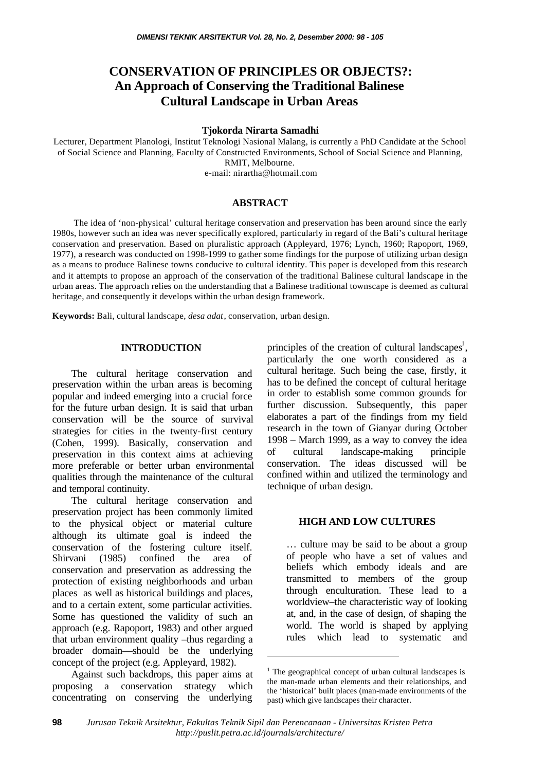# **CONSERVATION OF PRINCIPLES OR OBJECTS?: An Approach of Conserving the Traditional Balinese Cultural Landscape in Urban Areas**

#### **Tjokorda Nirarta Samadhi**

Lecturer, Department Planologi, Institut Teknologi Nasional Malang, is currently a PhD Candidate at the School of Social Science and Planning, Faculty of Constructed Environments, School of Social Science and Planning, RMIT, Melbourne. e-mail: nirartha@hotmail.com

### **ABSTRACT**

 The idea of 'non-physical' cultural heritage conservation and preservation has been around since the early 1980s, however such an idea was never specifically explored, particularly in regard of the Bali's cultural heritage conservation and preservation. Based on pluralistic approach (Appleyard, 1976; Lynch, 1960; Rapoport, 1969, 1977), a research was conducted on 1998-1999 to gather some findings for the purpose of utilizing urban design as a means to produce Balinese towns conducive to cultural identity. This paper is developed from this research and it attempts to propose an approach of the conservation of the traditional Balinese cultural landscape in the urban areas. The approach relies on the understanding that a Balinese traditional townscape is deemed as cultural heritage, and consequently it develops within the urban design framework.

**Keywords:** Bali, cultural landscape, *desa adat*, conservation, urban design.

#### **INTRODUCTION**

The cultural heritage conservation and preservation within the urban areas is becoming popular and indeed emerging into a crucial force for the future urban design. It is said that urban conservation will be the source of survival strategies for cities in the twenty-first century (Cohen, 1999). Basically, conservation and preservation in this context aims at achieving more preferable or better urban environmental qualities through the maintenance of the cultural and temporal continuity.

The cultural heritage conservation and preservation project has been commonly limited to the physical object or material culture although its ultimate goal is indeed the conservation of the fostering culture itself. Shirvani (1985) confined the area of conservation and preservation as addressing the protection of existing neighborhoods and urban places as well as historical buildings and places, and to a certain extent, some particular activities. Some has questioned the validity of such an approach (e.g. Rapoport, 1983) and other argued that urban environment quality –thus regarding a broader domain—should be the underlying concept of the project (e.g. Appleyard, 1982).

Against such backdrops, this paper aims at proposing a conservation strategy which concentrating on conserving the underlying

principles of the creation of cultural landscapes<sup>1</sup>, particularly the one worth considered as a cultural heritage. Such being the case, firstly, it has to be defined the concept of cultural heritage in order to establish some common grounds for further discussion. Subsequently, this paper elaborates a part of the findings from my field research in the town of Gianyar during October 1998 – March 1999, as a way to convey the idea of cultural landscape-making principle conservation. The ideas discussed will be confined within and utilized the terminology and technique of urban design.

### **HIGH AND LOW CULTURES**

… culture may be said to be about a group of people who have a set of values and beliefs which embody ideals and are transmitted to members of the group through enculturation. These lead to a worldview–the characteristic way of looking at, and, in the case of design, of shaping the world. The world is shaped by applying rules which lead to systematic and

l

<sup>&</sup>lt;sup>1</sup> The geographical concept of urban cultural landscapes is the man-made urban elements and their relationships, and the 'historical' built places (man-made environments of the past) which give landscapes their character.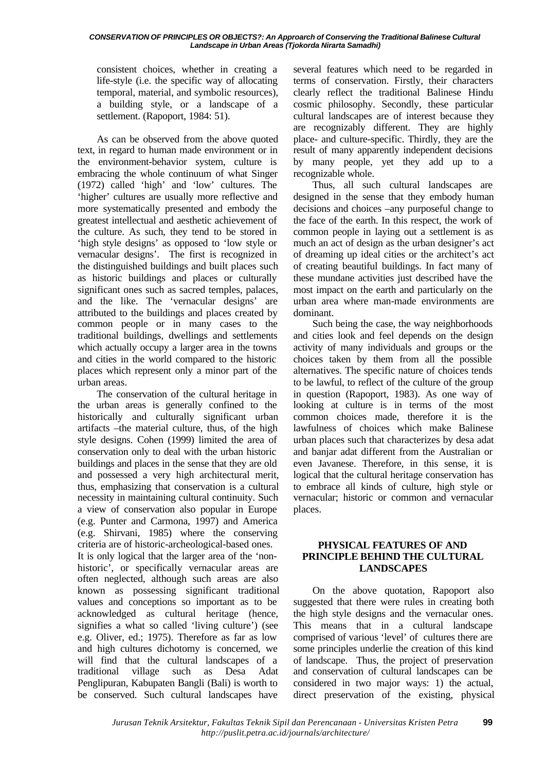#### *CONSERVATION OF PRINCIPLES OR OBJECTS?: An Approarch of Conserving the Traditional Balinese Cultural Landscape in Urban Areas (Tjokorda Nirarta Samadhi)*

consistent choices, whether in creating a life-style (i.e. the specific way of allocating temporal, material, and symbolic resources), a building style, or a landscape of a settlement. (Rapoport, 1984: 51).

As can be observed from the above quoted text, in regard to human made environment or in the environment-behavior system, culture is embracing the whole continuum of what Singer (1972) called 'high' and 'low' cultures. The 'higher' cultures are usually more reflective and more systematically presented and embody the greatest intellectual and aesthetic achievement of the culture. As such, they tend to be stored in 'high style designs' as opposed to 'low style or vernacular designs'. The first is recognized in the distinguished buildings and built places such as historic buildings and places or culturally significant ones such as sacred temples, palaces, and the like. The 'vernacular designs' are attributed to the buildings and places created by common people or in many cases to the traditional buildings, dwellings and settlements which actually occupy a larger area in the towns and cities in the world compared to the historic places which represent only a minor part of the urban areas.

The conservation of the cultural heritage in the urban areas is generally confined to the historically and culturally significant urban artifacts –the material culture, thus, of the high style designs. Cohen (1999) limited the area of conservation only to deal with the urban historic buildings and places in the sense that they are old and possessed a very high architectural merit, thus, emphasizing that conservation is a cultural necessity in maintaining cultural continuity. Such a view of conservation also popular in Europe (e.g. Punter and Carmona, 1997) and America (e.g. Shirvani, 1985) where the conserving criteria are of historic-archeological-based ones. It is only logical that the larger area of the 'nonhistoric', or specifically vernacular areas are often neglected, although such areas are also known as possessing significant traditional values and conceptions so important as to be acknowledged as cultural heritage (hence, signifies a what so called 'living culture') (see e.g. Oliver, ed.; 1975). Therefore as far as low and high cultures dichotomy is concerned, we will find that the cultural landscapes of a traditional village such as Desa Adat Penglipuran, Kabupaten Bangli (Bali) is worth to be conserved. Such cultural landscapes have

several features which need to be regarded in terms of conservation. Firstly, their characters clearly reflect the traditional Balinese Hindu cosmic philosophy. Secondly, these particular cultural landscapes are of interest because they are recognizably different. They are highly place- and culture-specific. Thirdly, they are the result of many apparently independent decisions by many people, yet they add up to a recognizable whole.

Thus, all such cultural landscapes are designed in the sense that they embody human decisions and choices –any purposeful change to the face of the earth. In this respect, the work of common people in laying out a settlement is as much an act of design as the urban designer's act of dreaming up ideal cities or the architect's act of creating beautiful buildings. In fact many of these mundane activities just described have the most impact on the earth and particularly on the urban area where man-made environments are dominant.

Such being the case, the way neighborhoods and cities look and feel depends on the design activity of many individuals and groups or the choices taken by them from all the possible alternatives. The specific nature of choices tends to be lawful, to reflect of the culture of the group in question (Rapoport, 1983). As one way of looking at culture is in terms of the most common choices made, therefore it is the lawfulness of choices which make Balinese urban places such that characterizes by desa adat and banjar adat different from the Australian or even Javanese. Therefore, in this sense, it is logical that the cultural heritage conservation has to embrace all kinds of culture, high style or vernacular; historic or common and vernacular places.

# **PHYSICAL FEATURES OF AND PRINCIPLE BEHIND THE CULTURAL LANDSCAPES**

On the above quotation, Rapoport also suggested that there were rules in creating both the high style designs and the vernacular ones. This means that in a cultural landscape comprised of various 'level' of cultures there are some principles underlie the creation of this kind of landscape. Thus, the project of preservation and conservation of cultural landscapes can be considered in two major ways: 1) the actual, direct preservation of the existing, physical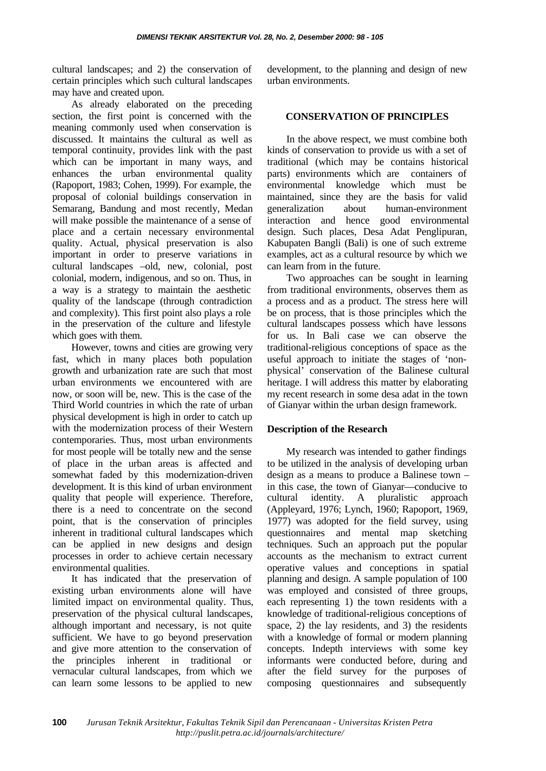cultural landscapes; and 2) the conservation of certain principles which such cultural landscapes may have and created upon.

As already elaborated on the preceding section, the first point is concerned with the meaning commonly used when conservation is discussed. It maintains the cultural as well as temporal continuity, provides link with the past which can be important in many ways, and enhances the urban environmental quality (Rapoport, 1983; Cohen, 1999). For example, the proposal of colonial buildings conservation in Semarang, Bandung and most recently, Medan will make possible the maintenance of a sense of place and a certain necessary environmental quality. Actual, physical preservation is also important in order to preserve variations in cultural landscapes –old, new, colonial, post colonial, modern, indigenous, and so on. Thus, in a way is a strategy to maintain the aesthetic quality of the landscape (through contradiction and complexity). This first point also plays a role in the preservation of the culture and lifestyle which goes with them.

However, towns and cities are growing very fast, which in many places both population growth and urbanization rate are such that most urban environments we encountered with are now, or soon will be, new. This is the case of the Third World countries in which the rate of urban physical development is high in order to catch up with the modernization process of their Western contemporaries. Thus, most urban environments for most people will be totally new and the sense of place in the urban areas is affected and somewhat faded by this modernization-driven development. It is this kind of urban environment quality that people will experience. Therefore, there is a need to concentrate on the second point, that is the conservation of principles inherent in traditional cultural landscapes which can be applied in new designs and design processes in order to achieve certain necessary environmental qualities.

It has indicated that the preservation of existing urban environments alone will have limited impact on environmental quality. Thus, preservation of the physical cultural landscapes, although important and necessary, is not quite sufficient. We have to go beyond preservation and give more attention to the conservation of the principles inherent in traditional or vernacular cultural landscapes, from which we can learn some lessons to be applied to new

development, to the planning and design of new urban environments.

# **CONSERVATION OF PRINCIPLES**

In the above respect, we must combine both kinds of conservation to provide us with a set of traditional (which may be contains historical parts) environments which are containers of environmental knowledge which must be maintained, since they are the basis for valid generalization about human-environment interaction and hence good environmental design. Such places, Desa Adat Penglipuran, Kabupaten Bangli (Bali) is one of such extreme examples, act as a cultural resource by which we can learn from in the future.

Two approaches can be sought in learning from traditional environments, observes them as a process and as a product. The stress here will be on process, that is those principles which the cultural landscapes possess which have lessons for us. In Bali case we can observe the traditional-religious conceptions of space as the useful approach to initiate the stages of 'nonphysical' conservation of the Balinese cultural heritage. I will address this matter by elaborating my recent research in some desa adat in the town of Gianyar within the urban design framework.

### **Description of the Research**

My research was intended to gather findings to be utilized in the analysis of developing urban design as a means to produce a Balinese town – in this case, the town of Gianyar—conducive to cultural identity. A pluralistic approach (Appleyard, 1976; Lynch, 1960; Rapoport, 1969, 1977) was adopted for the field survey, using questionnaires and mental map sketching techniques. Such an approach put the popular accounts as the mechanism to extract current operative values and conceptions in spatial planning and design. A sample population of 100 was employed and consisted of three groups, each representing 1) the town residents with a knowledge of traditional-religious conceptions of space, 2) the lay residents, and 3) the residents with a knowledge of formal or modern planning concepts. Indepth interviews with some key informants were conducted before, during and after the field survey for the purposes of composing questionnaires and subsequently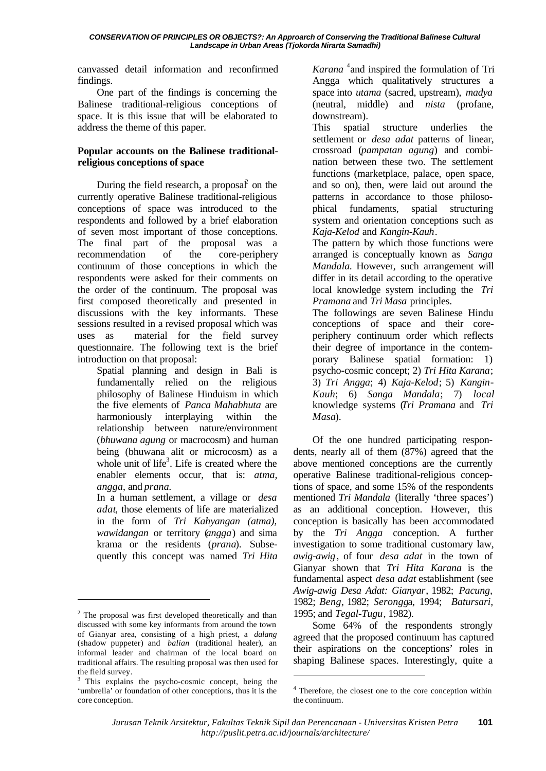canvassed detail information and reconfirmed findings.

One part of the findings is concerning the Balinese traditional-religious conceptions of space. It is this issue that will be elaborated to address the theme of this paper.

# **Popular accounts on the Balinese traditionalreligious conceptions of space**

During the field research, a proposal  $\hat{f}$  on the currently operative Balinese traditional-religious conceptions of space was introduced to the respondents and followed by a brief elaboration of seven most important of those conceptions. The final part of the proposal was a recommendation of the core-periphery continuum of those conceptions in which the respondents were asked for their comments on the order of the continuum. The proposal was first composed theoretically and presented in discussions with the key informants. These sessions resulted in a revised proposal which was uses as material for the field survey questionnaire. The following text is the brief introduction on that proposal:

Spatial planning and design in Bali is fundamentally relied on the religious philosophy of Balinese Hinduism in which the five elements of *Panca Mahabhuta* are harmoniously interplaying within the relationship between nature/environment (*bhuwana agung* or macrocosm) and human being (bhuwana alit or microcosm) as a whole unit of life<sup>3</sup>. Life is created where the enabler elements occur, that is: *atma, angga*, and *prana.*

In a human settlement, a village or *desa adat*, those elements of life are materialized in the form of *Tri Kahyangan (atma), wawidangan* or territory (*angga*) and sima krama or the residents (*prana*). Subsequently this concept was named *Tri Hita*

l

Karana<sup>4</sup> and inspired the formulation of Tri Angga which qualitatively structures a space into *utama* (sacred, upstream), *madya* (neutral, middle) and *nista* (profane, downstream).

This spatial structure underlies the settlement or *desa adat* patterns of linear, crossroad (*pampatan agung*) and combination between these two. The settlement functions (marketplace, palace, open space, and so on), then, were laid out around the patterns in accordance to those philosophical fundaments, spatial structuring system and orientation conceptions such as *Kaja-Kelod* and *Kangin-Kauh*.

The pattern by which those functions were arranged is conceptually known as *Sanga Mandala.* However, such arrangement will differ in its detail according to the operative local knowledge system including the *Tri Pramana* and *Tri Masa* principles.

The followings are seven Balinese Hindu conceptions of space and their coreperiphery continuum order which reflects their degree of importance in the contemporary Balinese spatial formation: 1) psycho-cosmic concept; 2) *Tri Hita Karana*; 3) *Tri Angga*; 4) *Kaja-Kelod*; 5) *Kangin*-*Kauh*; 6) *Sanga Mandala*; 7) *local* knowledge systems (*Tri Pramana* and *Tri Masa*).

Of the one hundred participating respondents, nearly all of them (87%) agreed that the above mentioned conceptions are the currently operative Balinese traditional-religious conceptions of space, and some 15% of the respondents mentioned *Tri Mandala* (literally 'three spaces') as an additional conception. However, this conception is basically has been accommodated by the *Tri Angga* conception. A further investigation to some traditional customary law, *awig-awig*, of four *desa adat* in the town of Gianyar shown that *Tri Hita Karana* is the fundamental aspect *desa adat* establishment (see *Awig-awig Desa Adat: Gianyar*, 1982; *Pacung,* 1982; *Beng*, 1982; *Serongg*a, 1994; *Batursari,* 1995; and *Tegal-Tugu*, 1982).

Some 64% of the respondents strongly agreed that the proposed continuum has captured their aspirations on the conceptions' roles in shaping Balinese spaces. Interestingly, quite a

l

<sup>&</sup>lt;sup>2</sup> The proposal was first developed theoretically and than discussed with some key informants from around the town of Gianyar area, consisting of a high priest, a *dalang* (shadow puppeter) and *balian* (traditional healer), an informal leader and chairman of the local board on traditional affairs. The resulting proposal was then used for the field survey.

<sup>&</sup>lt;sup>3</sup> This explains the psycho-cosmic concept, being the 'umbrella' or foundation of other conceptions, thus it is the core conception.

<sup>&</sup>lt;sup>4</sup> Therefore, the closest one to the core conception within the continuum.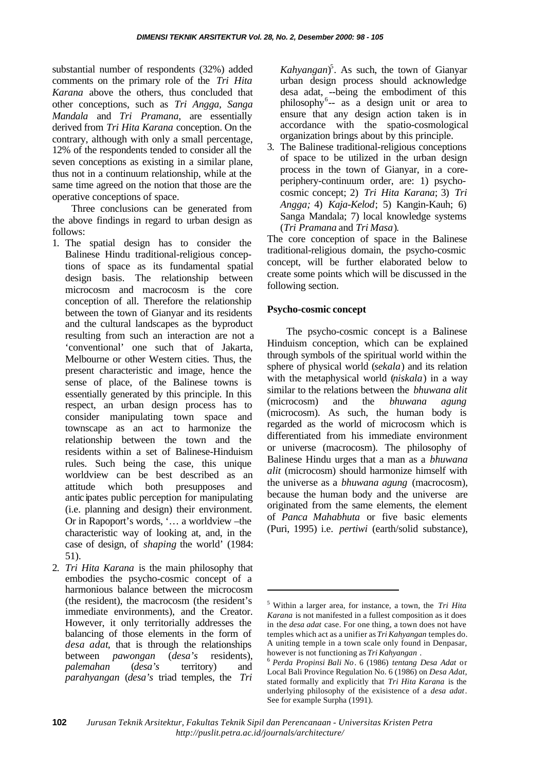substantial number of respondents (32%) added comments on the primary role of the *Tri Hita Karana* above the others, thus concluded that other conceptions, such as *Tri Angga, Sanga Mandala* and *Tri Pramana*, are essentially derived from *Tri Hita Karana* conception. On the contrary, although with only a small percentage, 12% of the respondents tended to consider all the seven conceptions as existing in a similar plane, thus not in a continuum relationship, while at the same time agreed on the notion that those are the operative conceptions of space.

Three conclusions can be generated from the above findings in regard to urban design as follows:

- 1. The spatial design has to consider the Balinese Hindu traditional-religious conceptions of space as its fundamental spatial design basis. The relationship between microcosm and macrocosm is the core conception of all. Therefore the relationship between the town of Gianyar and its residents and the cultural landscapes as the byproduct resulting from such an interaction are not a 'conventional' one such that of Jakarta, Melbourne or other Western cities. Thus, the present characteristic and image, hence the sense of place, of the Balinese towns is essentially generated by this principle. In this respect, an urban design process has to consider manipulating town space and townscape as an act to harmonize the relationship between the town and the residents within a set of Balinese-Hinduism rules. Such being the case, this unique worldview can be best described as an attitude which both presupposes and anticipates public perception for manipulating (i.e. planning and design) their environment. Or in Rapoport's words, '… a worldview –the characteristic way of looking at, and, in the case of design, of *shaping* the world' (1984: 51).
- 2. *Tri Hita Karana* is the main philosophy that embodies the psycho-cosmic concept of a harmonious balance between the microcosm (the resident), the macrocosm (the resident's immediate environments), and the Creator. However, it only territorially addresses the balancing of those elements in the form of *desa adat*, that is through the relationships between *pawongan* (*desa's* residents), *palemahan* (*desa's* territory) and *parahyangan* (*desa's* triad temples, the *Tri*

*Kahyangan*) 5 . As such, the town of Gianyar urban design process should acknowledge desa adat, --being the embodiment of this philosophy<sup>6</sup>-- as a design unit or area to ensure that any design action taken is in accordance with the spatio-cosmological organization brings about by this principle.

3. The Balinese traditional-religious conceptions of space to be utilized in the urban design process in the town of Gianyar, in a coreperiphery-continuum order, are: 1) psychocosmic concept; 2) *Tri Hita Karana*; 3) *Tri Angga;* 4) *Kaja-Kelod*; 5) Kangin-Kauh; 6) Sanga Mandala; 7) local knowledge systems (*Tri Pramana* and *Tri Masa*).

The core conception of space in the Balinese traditional-religious domain, the psycho-cosmic concept, will be further elaborated below to create some points which will be discussed in the following section.

#### **Psycho-cosmic concept**

The psycho-cosmic concept is a Balinese Hinduism conception, which can be explained through symbols of the spiritual world within the sphere of physical world (*sekala*) and its relation with the metaphysical world (*niskala*) in a way similar to the relations between the *bhuwana alit* (microcosm) and the *bhuwana agung* (microcosm). As such, the human body is regarded as the world of microcosm which is differentiated from his immediate environment or universe (macrocosm). The philosophy of Balinese Hindu urges that a man as a *bhuwana alit* (microcosm) should harmonize himself with the universe as a *bhuwana agung* (macrocosm), because the human body and the universe are originated from the same elements, the element of *Panca Mahabhuta* or five basic elements (Puri, 1995) i.e. *pertiwi* (earth/solid substance),

l

<sup>5</sup> Within a larger area, for instance, a town, the *Tri Hita Karana* is not manifested in a fullest composition as it does in the *desa adat* case. For one thing, a town does not have temples which act as a unifier as *Tri Kahyangan* temples do. A uniting temple in a town scale only found in Denpasar, however is not functioning as *Tri Kahyangan* .

<sup>6</sup> *Perda Propinsi Bali No*. 6 (1986) *tentang Desa Adat* or Local Bali Province Regulation No. 6 (1986) on *Desa Adat*, stated formally and explicitly that *Tri Hita Karana* is the underlying philosophy of the exisistence of a *desa adat*. See for example Surpha (1991).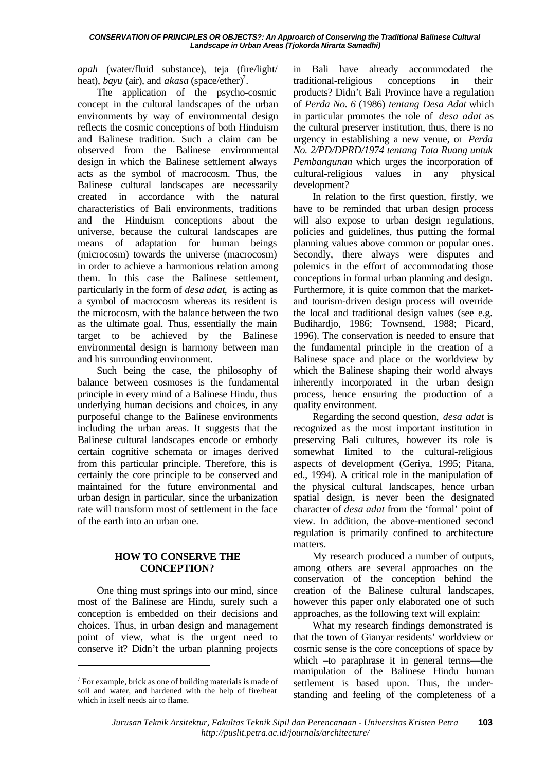#### *CONSERVATION OF PRINCIPLES OR OBJECTS?: An Approarch of Conserving the Traditional Balinese Cultural Landscape in Urban Areas (Tjokorda Nirarta Samadhi)*

*apah* (water/fluid substance), teja (fire/light/ heat), *bayu* (air), and *akasa* (space/ether)<sup>7</sup>.

The application of the psycho-cosmic concept in the cultural landscapes of the urban environments by way of environmental design reflects the cosmic conceptions of both Hinduism and Balinese tradition. Such a claim can be observed from the Balinese environmental design in which the Balinese settlement always acts as the symbol of macrocosm. Thus, the Balinese cultural landscapes are necessarily created in accordance with the natural characteristics of Bali environments, traditions and the Hinduism conceptions about the universe, because the cultural landscapes are means of adaptation for human beings (microcosm) towards the universe (macrocosm) in order to achieve a harmonious relation among them. In this case the Balinese settlement, particularly in the form of *desa adat*, is acting as a symbol of macrocosm whereas its resident is the microcosm, with the balance between the two as the ultimate goal. Thus, essentially the main target to be achieved by the Balinese environmental design is harmony between man and his surrounding environment.

Such being the case, the philosophy of balance between cosmoses is the fundamental principle in every mind of a Balinese Hindu, thus underlying human decisions and choices, in any purposeful change to the Balinese environments including the urban areas. It suggests that the Balinese cultural landscapes encode or embody certain cognitive schemata or images derived from this particular principle. Therefore, this is certainly the core principle to be conserved and maintained for the future environmental and urban design in particular, since the urbanization rate will transform most of settlement in the face of the earth into an urban one.

# **HOW TO CONSERVE THE CONCEPTION?**

One thing must springs into our mind, since most of the Balinese are Hindu, surely such a conception is embedded on their decisions and choices. Thus, in urban design and management point of view, what is the urgent need to conserve it? Didn't the urban planning projects

l

in Bali have already accommodated the traditional-religious conceptions in their products? Didn't Bali Province have a regulation of *Perda No. 6* (1986) *tentang Desa Adat* which in particular promotes the role of *desa adat* as the cultural preserver institution, thus, there is no urgency in establishing a new venue, or *Perda No. 2/PD/DPRD/1974 tentang Tata Ruang untuk Pembangunan* which urges the incorporation of cultural-religious values in any physical development?

In relation to the first question, firstly, we have to be reminded that urban design process will also expose to urban design regulations, policies and guidelines, thus putting the formal planning values above common or popular ones. Secondly, there always were disputes and polemics in the effort of accommodating those conceptions in formal urban planning and design. Furthermore, it is quite common that the marketand tourism-driven design process will override the local and traditional design values (see e.g. Budihardjo, 1986; Townsend, 1988; Picard, 1996). The conservation is needed to ensure that the fundamental principle in the creation of a Balinese space and place or the worldview by which the Balinese shaping their world always inherently incorporated in the urban design process, hence ensuring the production of a quality environment.

Regarding the second question, *desa adat* is recognized as the most important institution in preserving Bali cultures, however its role is somewhat limited to the cultural-religious aspects of development (Geriya, 1995; Pitana, ed., 1994). A critical role in the manipulation of the physical cultural landscapes, hence urban spatial design, is never been the designated character of *desa adat* from the 'formal' point of view. In addition, the above-mentioned second regulation is primarily confined to architecture matters.

My research produced a number of outputs, among others are several approaches on the conservation of the conception behind the creation of the Balinese cultural landscapes, however this paper only elaborated one of such approaches, as the following text will explain:

What my research findings demonstrated is that the town of Gianyar residents' worldview or cosmic sense is the core conceptions of space by which –to paraphrase it in general terms—the manipulation of the Balinese Hindu human settlement is based upon. Thus, the understanding and feeling of the completeness of a

 $7$  For example, brick as one of building materials is made of soil and water, and hardened with the help of fire/heat which in itself needs air to flame.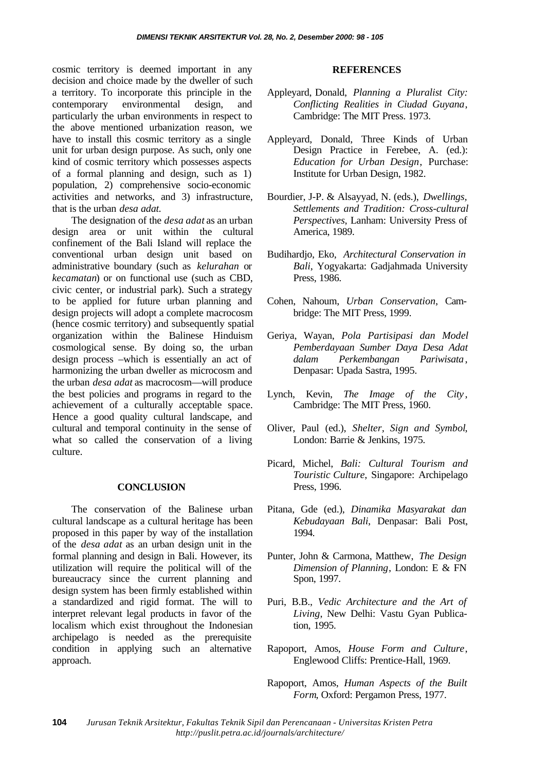cosmic territory is deemed important in any decision and choice made by the dweller of such a territory. To incorporate this principle in the contemporary environmental design, and particularly the urban environments in respect to the above mentioned urbanization reason, we have to install this cosmic territory as a single unit for urban design purpose. As such, only one kind of cosmic territory which possesses aspects of a formal planning and design, such as 1) population, 2) comprehensive socio-economic activities and networks, and 3) infrastructure, that is the urban *desa adat.*

The designation of the *desa adat* as an urban design area or unit within the cultural confinement of the Bali Island will replace the conventional urban design unit based on administrative boundary (such as *kelurahan* or *kecamatan*) or on functional use (such as CBD, civic center, or industrial park). Such a strategy to be applied for future urban planning and design projects will adopt a complete macrocosm (hence cosmic territory) and subsequently spatial organization within the Balinese Hinduism cosmological sense. By doing so, the urban design process –which is essentially an act of harmonizing the urban dweller as microcosm and the urban *desa adat* as macrocosm—will produce the best policies and programs in regard to the achievement of a culturally acceptable space. Hence a good quality cultural landscape, and cultural and temporal continuity in the sense of what so called the conservation of a living culture.

#### **CONCLUSION**

The conservation of the Balinese urban cultural landscape as a cultural heritage has been proposed in this paper by way of the installation of the *desa adat* as an urban design unit in the formal planning and design in Bali. However, its utilization will require the political will of the bureaucracy since the current planning and design system has been firmly established within a standardized and rigid format. The will to interpret relevant legal products in favor of the localism which exist throughout the Indonesian archipelago is needed as the prerequisite condition in applying such an alternative approach.

#### **REFERENCES**

- Appleyard, Donald, *Planning a Pluralist City: Conflicting Realities in Ciudad Guyana*, Cambridge: The MIT Press. 1973.
- Appleyard, Donald, Three Kinds of Urban Design Practice in Ferebee, A. (ed.): *Education for Urban Design*, Purchase: Institute for Urban Design, 1982.
- Bourdier, J-P. & Alsayyad, N. (eds.), *Dwellings, Settlements and Tradition: Cross-cultural Perspectives*, Lanham: University Press of America, 1989.
- Budihardjo, Eko, *Architectural Conservation in Bali*, Yogyakarta: Gadjahmada University Press, 1986.
- Cohen, Nahoum, *Urban Conservation*, Cambridge: The MIT Press, 1999.
- Geriya, Wayan, *Pola Partisipasi dan Model Pemberdayaan Sumber Daya Desa Adat dalam Perkembangan Pariwisata*, Denpasar: Upada Sastra, 1995.
- Lynch, Kevin, *The Image of the City* , Cambridge: The MIT Press, 1960.
- Oliver, Paul (ed.), *Shelter, Sign and Symbol*, London: Barrie & Jenkins, 1975.
- Picard, Michel, *Bali: Cultural Tourism and Touristic Culture*, Singapore: Archipelago Press, 1996.
- Pitana, Gde (ed.), *Dinamika Masyarakat dan Kebudayaan Bali*, Denpasar: Bali Post, 1994.
- Punter, John & Carmona, Matthew, *The Design Dimension of Planning*, London: E & FN Spon, 1997.
- Puri, B.B., *Vedic Architecture and the Art of Living*, New Delhi: Vastu Gyan Publication, 1995.
- Rapoport, Amos, *House Form and Culture*, Englewood Cliffs: Prentice-Hall, 1969.
- Rapoport, Amos, *Human Aspects of the Built Form*, Oxford: Pergamon Press, 1977.